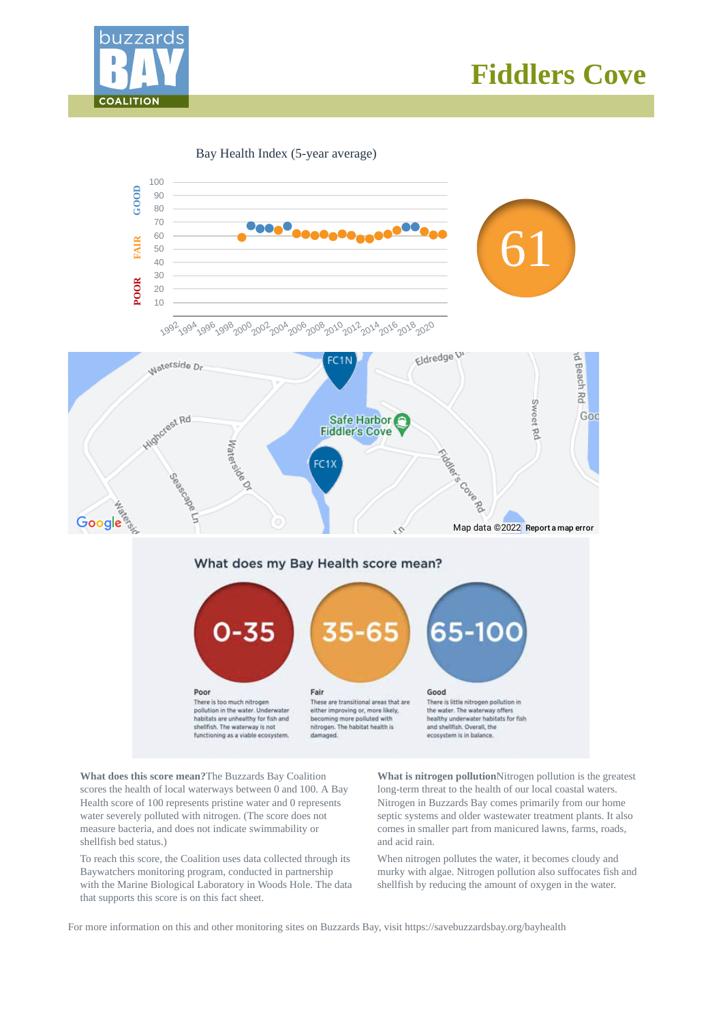

# **Fiddlers Cove**

Bay Health Index (5-year average)



**What does this score mean?**The Buzzards Bay Coalition scores the health of local waterways between 0 and 100. A Bay Health score of 100 represents pristine water and 0 represents water severely polluted with nitrogen. (The score does not measure bacteria, and does not indicate swimmability or shellfish bed status.)

To reach this score, the Coalition uses data collected through its Baywatchers monitoring program, conducted in partnership with the Marine Biological Laboratory in Woods Hole. The data that supports this score is on this fact sheet.

**What is nitrogen pollution**Nitrogen pollution is the greatest long-term threat to the health of our local coastal waters. Nitrogen in Buzzards Bay comes primarily from our home septic systems and older wastewater treatment plants. It also comes in smaller part from manicured lawns, farms, roads, and acid rain.

When nitrogen pollutes the water, it becomes cloudy and murky with algae. Nitrogen pollution also suffocates fish and shellfish by reducing the amount of oxygen in the water.

For more information on this and other monitoring sites on Buzzards Bay, visit https://savebuzzardsbay.org/bayhealth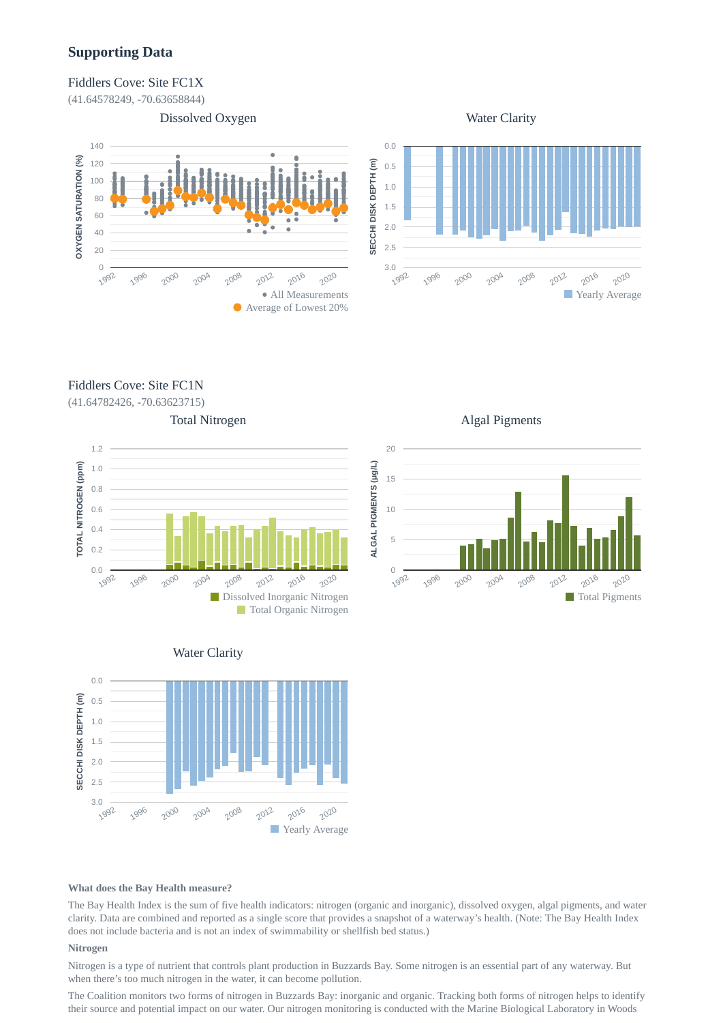## **Supporting Data**

#### Fiddlers Cove: Site FC1X

(41.64578249, -70.63658844)





Fiddlers Cove: Site FC1N

(41.64782426, -70.63623715)





Algal Pigments







#### **What does the Bay Health measure?**

The Bay Health Index is the sum of five health indicators: nitrogen (organic and inorganic), dissolved oxygen, algal pigments, and water clarity. Data are combined and reported as a single score that provides a snapshot of a waterway's health. (Note: The Bay Health Index does not include bacteria and is not an index of swimmability or shellfish bed status.)

#### **Nitrogen**

Nitrogen is a type of nutrient that controls plant production in Buzzards Bay. Some nitrogen is an essential part of any waterway. But when there's too much nitrogen in the water, it can become pollution.

The Coalition monitors two forms of nitrogen in Buzzards Bay: inorganic and organic. Tracking both forms of nitrogen helps to identify their source and potential impact on our water. Our nitrogen monitoring is conducted with the Marine Biological Laboratory in Woods